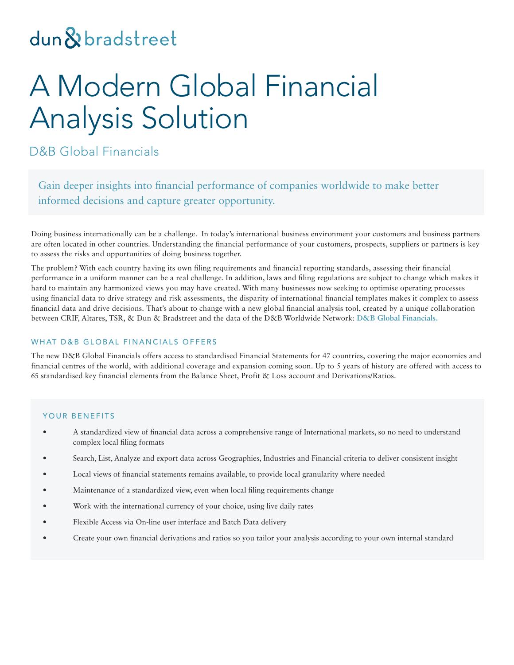# dun & bradstreet

# A Modern Global Financial Analysis Solution

D&B Global Financials

Gain deeper insights into financial performance of companies worldwide to make better informed decisions and capture greater opportunity.

Doing business internationally can be a challenge. In today's international business environment your customers and business partners are often located in other countries. Understanding the financial performance of your customers, prospects, suppliers or partners is key to assess the risks and opportunities of doing business together.

The problem? With each country having its own filing requirements and financial reporting standards, assessing their financial performance in a uniform manner can be a real challenge. In addition, laws and filing regulations are subject to change which makes it hard to maintain any harmonized views you may have created. With many businesses now seeking to optimise operating processes using financial data to drive strategy and risk assessments, the disparity of international financial templates makes it complex to assess financial data and drive decisions. That's about to change with a new global financial analysis tool, created by a unique collaboration between CRIF, Altares, TSR, & Dun & Bradstreet and the data of the D&B Worldwide Network: **D&B Global Financials.**

### WHAT D&B GLOBAL FINANCIALS OFFERS

The new D&B Global Financials offers access to standardised Financial Statements for 47 countries, covering the major economies and financial centres of the world, with additional coverage and expansion coming soon. Up to 5 years of history are offered with access to 65 standardised key financial elements from the Balance Sheet, Profit & Loss account and Derivations/Ratios.

#### YOUR BENEFITS

- A standardized view of financial data across a comprehensive range of International markets, so no need to understand complex local filing formats
- Search, List, Analyze and export data across Geographies, Industries and Financial criteria to deliver consistent insight
- Local views of financial statements remains available, to provide local granularity where needed
- Maintenance of a standardized view, even when local filing requirements change
- Work with the international currency of your choice, using live daily rates
- Flexible Access via On-line user interface and Batch Data delivery
- Create your own financial derivations and ratios so you tailor your analysis according to your own internal standard